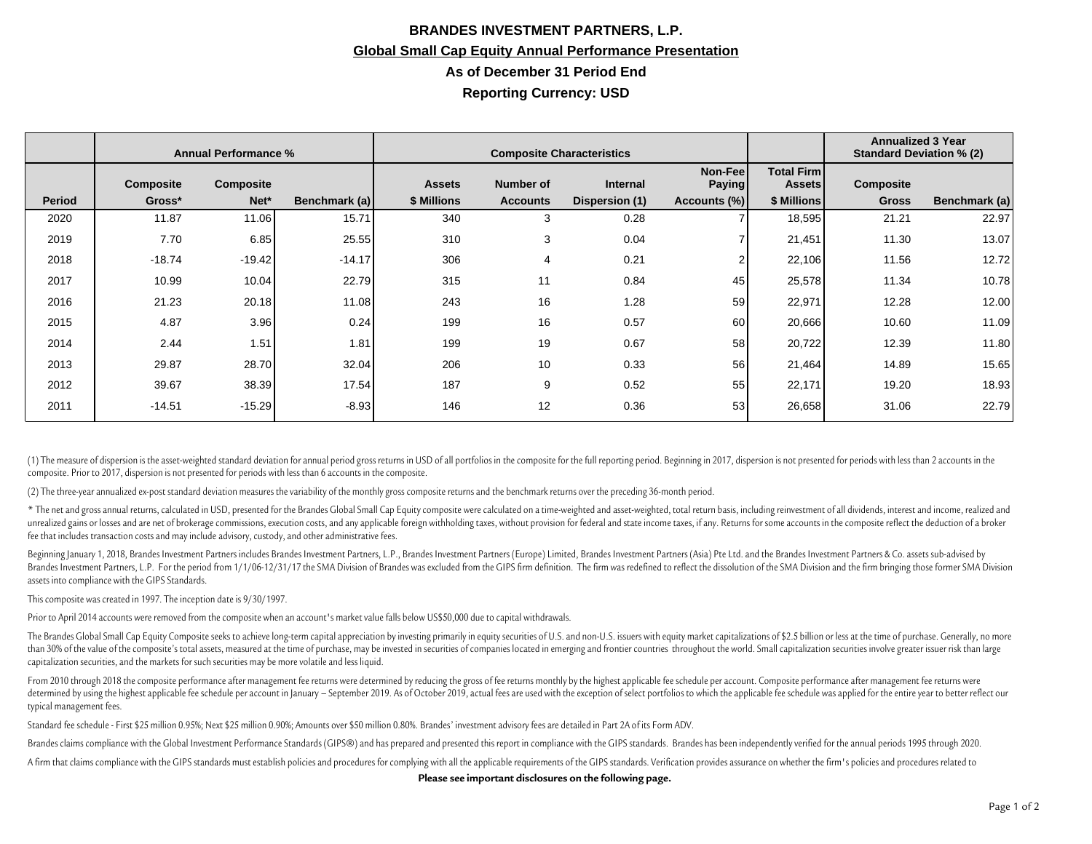## **BRANDES INVESTMENT PARTNERS, L.P. Global Small Cap Equity Annual Performance Presentation As of December 31 Period End Reporting Currency: USD**

|               | <b>Annual Performance %</b> |           |               | <b>Composite Characteristics</b> |                 |                 |                           |                                    | <b>Annualized 3 Year</b><br><b>Standard Deviation % (2)</b> |               |
|---------------|-----------------------------|-----------|---------------|----------------------------------|-----------------|-----------------|---------------------------|------------------------------------|-------------------------------------------------------------|---------------|
|               | <b>Composite</b>            | Composite |               | <b>Assets</b>                    | Number of       | <b>Internal</b> | Non-Feel<br><b>Paying</b> | <b>Total Firm</b><br><b>Assets</b> | Composite                                                   |               |
| <b>Period</b> | Gross*                      | Net*      | Benchmark (a) | \$ Millions                      | <b>Accounts</b> | Dispersion (1)  | Accounts (%)              | \$ Millions                        | <b>Gross</b>                                                | Benchmark (a) |
| 2020          | 11.87                       | 11.06     | 15.71         | 340                              | 3               | 0.28            |                           | 18,595                             | 21.21                                                       | 22.97         |
| 2019          | 7.70                        | 6.85      | 25.55         | 310                              | 3               | 0.04            |                           | 21,451                             | 11.30                                                       | 13.07         |
| 2018          | $-18.74$                    | $-19.42$  | $-14.17$      | 306                              | 4               | 0.21            | $\overline{2}$            | 22,106                             | 11.56                                                       | 12.72         |
| 2017          | 10.99                       | 10.04     | 22.79         | 315                              | 11              | 0.84            | 45                        | 25,578                             | 11.34                                                       | 10.78         |
| 2016          | 21.23                       | 20.18     | 11.08         | 243                              | 16              | 1.28            | 59                        | 22,971                             | 12.28                                                       | 12.00         |
| 2015          | 4.87                        | 3.96      | 0.24          | 199                              | 16              | 0.57            | 60                        | 20,666                             | 10.60                                                       | 11.09         |
| 2014          | 2.44                        | 1.51      | 1.81          | 199                              | 19              | 0.67            | 58                        | 20,722                             | 12.39                                                       | 11.80         |
| 2013          | 29.87                       | 28.70     | 32.04         | 206                              | 10              | 0.33            | 56                        | 21,464                             | 14.89                                                       | 15.65         |
| 2012          | 39.67                       | 38.39     | 17.54         | 187                              | 9               | 0.52            | 55                        | 22,171                             | 19.20                                                       | 18.93         |
| 2011          | $-14.51$                    | $-15.29$  | $-8.93$       | 146                              | 12              | 0.36            | 53                        | 26,658                             | 31.06                                                       | 22.79         |

(1) The measure of dispersion is the asset-weighted standard deviation for annual period gross returns in USD of all portfolios in the composite for the full reporting period. Beginning in 2017, dispersion is not presented composite. Prior to 2017, dispersion is not presented for periods with less than 6 accounts in the composite.

(2) The three-year annualized ex-post standard deviation measures the variability of the monthly gross composite returns and the benchmark returns over the preceding 36-month period.

\* The net and gross annual returns, calculated in USD, presented for the Brandes Global Small Cap Equity composite were calculated on a time-weighted and asset-weighted, total return basis, including reinvestment of all di unrealized gains or losses and are net of brokerage commissions, execution costs, and any applicable foreign withholding taxes, without provision for federal and state income taxes, if any. Returns for some accounts in the fee that includes transaction costs and may include advisory, custody, and other administrative fees.

Beginning January 1, 2018, Brandes Investment Partners includes Brandes Investment Partners, L.P., Brandes Investment Partners (Europe) Limited, Brandes Investment Partners (Asia) Pte Ltd. and the Brandes Investment Partne Brandes Investment Partners, L.P. For the period from 1/1/06-12/31/17 the SMA Division of Brandes was excluded from the GIPS firm definition. The firm was redefined to reflect the dissolution of the SMA Division and the fi assets into compliance with the GIPS Standards.

This composite was created in 1997. The inception date is 9/30/1997.

Prior to April 2014 accounts were removed from the composite when an account's market value falls below US\$50,000 due to capital withdrawals.

The Brandes Global Small Cap Equity Composite seeks to achieve long-term capital appreciation by investing primarily in equity securities of U.S. and non-U.S. issuers with equity market capitalizations of \$2.5 billion or l than 30% of the value of the composite's total assets, measured at the time of purchase, may be invested in securities of companies located in emerging and frontier countries throughout the world. Small capitalization secu capitalization securities, and the markets for such securities may be more volatile and less liquid.

From 2010 through 2018 the composite performance after management fee returns were determined by reducing the gross of fee returns monthly by the highest applicable fee schedule per account. Composite performance after man determined by using the highest applicable fee schedule per account in January - September 2019. As of October 2019, actual fees are used with the exception of select portfolios to which the applicable fee schedule was app typical management fees.

Standard fee schedule - First \$25 million 0.95%; Next \$25 million 0.90%; Amounts over \$50 million 0.80%. Brandes' investment advisory fees are detailed in Part 2A of its Form ADV.

Brandes claims compliance with the Global Investment Performance Standards (GIPS®) and has prepared and presented this report in compliance with the GIPS standards. Brandes has been independently verified for the annual pe

A firm that claims compliance with the GIPS standards must establish policies and procedures for complying with all the applicable requirements of the GIPS standards. Verification provides assurance on whether the firm's p

**Please see important disclosures on the following page.**